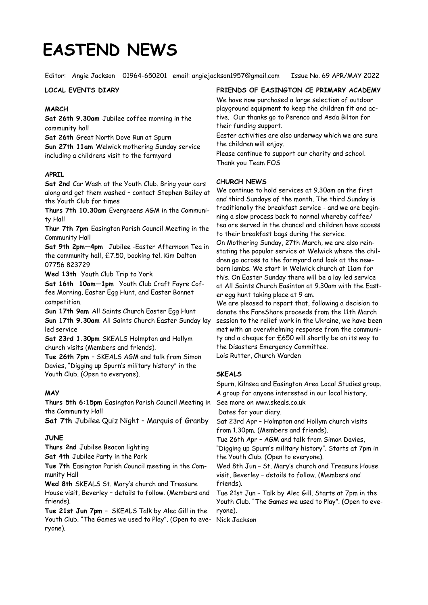# **EASTEND NEWS**

Editor: Angie Jackson 01964-650201 email: angiejackson1957@gmail.com Issue No. 69 APR/MAY 2022

## **LOCAL EVENTS DIARY**

## **MARCH**

**Sat 26th 9.30am** Jubilee coffee morning in the community hall

**Sat 26th** Great North Dove Run at Spurn

**Sun 27th 11am** Welwick mothering Sunday service including a childrens visit to the farmyard

#### **APRIL**

**Sat 2nd** Car Wash at the Youth Club. Bring your cars along and get them washed – contact Stephen Bailey at the Youth Club for times

**Thurs 7th 10.30am** Evergreens AGM in the Community Hall

**Thur 7th 7pm** Easington Parish Council Meeting in the Community Hall

**Sat 9th 2pm—4pm** Jubilee -Easter Afternoon Tea in the community hall, £7.50, booking tel. Kim Dalton 07756 823729

**Wed 13th** Youth Club Trip to York

**Sat 16th 10am—1pm** Youth Club Craft Fayre Coffee Morning, Easter Egg Hunt, and Easter Bonnet competition.

**Sun 17th 9am** All Saints Church Easter Egg Hunt **Sun 17th 9.30am** All Saints Church Easter Sunday lay led service

**Sat 23rd 1.30pm** SKEALS Holmpton and Hollym church visits (Members and friends).

**Tue 26th 7pm** – SKEALS AGM and talk from Simon Davies, "Digging up Spurn's military history" in the Youth Club. (Open to everyone).

## **MAY**

**Thurs 5th 6:15pm** Easington Parish Council Meeting in the Community Hall

**Sat 7th** Jubilee Quiz Night – Marquis of Granby

## **JUNE**

**Thurs 2nd** Jubilee Beacon lighting

**Sat 4th** Jubilee Party in the Park

**Tue 7th** Easington Parish Council meeting in the Community Hall

**Wed 8th** SKEALS St. Mary's church and Treasure House visit, Beverley – details to follow. (Members and friends).

**Tue 21st Jun 7pm** – SKEALS Talk by Alec Gill in the Youth Club. "The Games we used to Play". (Open to everyone).

**FRIENDS OF EASINGTON CE PRIMARY ACADEMY**

We have now purchased a large selection of outdoor playground equipment to keep the children fit and active. Our thanks go to Perenco and Asda Bilton for their funding support.

Easter activities are also underway which we are sure the children will enjoy.

Please continue to support our charity and school. Thank you Team FOS

#### **CHURCH NEWS**

We continue to hold services at 9.30am on the first and third Sundays of the month. The third Sunday is traditionally the breakfast service - and we are beginning a slow process back to normal whereby coffee/ tea are served in the chancel and children have access to their breakfast bags during the service.

On Mothering Sunday, 27th March, we are also reinstating the popular service at Welwick where the children go across to the farmyard and look at the newborn lambs. We start in Welwick church at 11am for this. On Easter Sunday there will be a lay led service at All Saints Church Easinton at 9.30am with the Easter egg hunt taking place at 9 am.

We are pleased to report that, following a decision to donate the FareShare proceeds from the 11th March session to the relief work in the Ukraine, we have been met with an overwhelming response from the community and a cheque for £650 will shortly be on its way to the Disasters Emergency Committee. Lois Rutter, Church Warden

#### **SKEALS**

Spurn, Kilnsea and Easington Area Local Studies group. A group for anyone interested in our local history.

See more on www.skeals.co.uk

Dates for your diary.

Sat 23rd Apr – Holmpton and Hollym church visits from 1.30pm. (Members and friends).

Tue 26th Apr – AGM and talk from Simon Davies, "Digging up Spurn's military history". Starts at 7pm in the Youth Club. (Open to everyone).

Wed 8th Jun – St. Mary's church and Treasure House visit, Beverley – details to follow. (Members and friends).

Tue 21st Jun – Talk by Alec Gill. Starts at 7pm in the Youth Club. "The Games we used to Play". (Open to everyone).

Nick Jackson